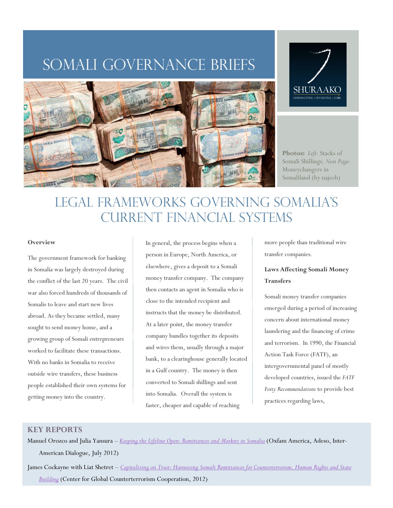# SOMALI GOVERNANCE BRIEFS





**Photos:** *Left:* Stacks of Somali Shillings*; Next Page:*  Moneychangers in Somaliland (by najeeb)

# LEGAL Frameworks governing SOMALIA'S current financial systems

#### **Overview**

The government framework for banking in Somalia was largely destroyed during the conflict of the last 20 years. The civil war also forced hundreds of thousands of Somalis to leave and start new lives abroad. As they became settled, many sought to send money home, and a growing group of Somali entrepreneurs worked to facilitate these transactions. With no banks in Somalia to receive outside wire transfers, these business people established their own systems for getting money into the country.

In general, the process begins when a person in Europe, North America, or elsewhere, gives a deposit to a Somali money transfer company. The company then contacts an agent in Somalia who is close to the intended recipient and instructs that the money be distributed. At a later point, the money transfer company bundles together its deposits and wires them, usually through a major bank, to a clearinghouse generally located in a Gulf country. The money is then converted to Somali shillings and sent into Somalia. Overall the system is faster, cheaper and capable of reaching

more people than traditional wire transfer companies.

# **Laws Affecting Somali Money Transfers**

Somali money transfer companies emerged during a period of increasing concern about international money laundering and the financing of crime and terrorism. In 1990, the Financial Action Task Force (FATF), an intergovernmental panel of mostly developed countries, issued the *FATF Forty Recommendations* to provide best practices regarding laws,

# **KEY REPORTS**

Manuel Orozco and Julia Yansura – *[Keeping the Lifeline Open: Remittances and Markets in Somalia](http://www.oxfamamerica.org/files/somalia-remittance-report.pdf)* (Oxfam America, Adeso, Inter-American Dialogue, July 2012)

James Cockayne with Liat Shetret – *[Capitalizing on Trust: Harnessing Somali Remittances for Counterterrorism, Human Rights and State](http://www.globalct.org/wp-content/uploads/2012/07/CapitalizingOnTrust.pdf)  [Building](http://www.globalct.org/wp-content/uploads/2012/07/CapitalizingOnTrust.pdf)* (Center for Global Counterterrorism Cooperation, 2012)